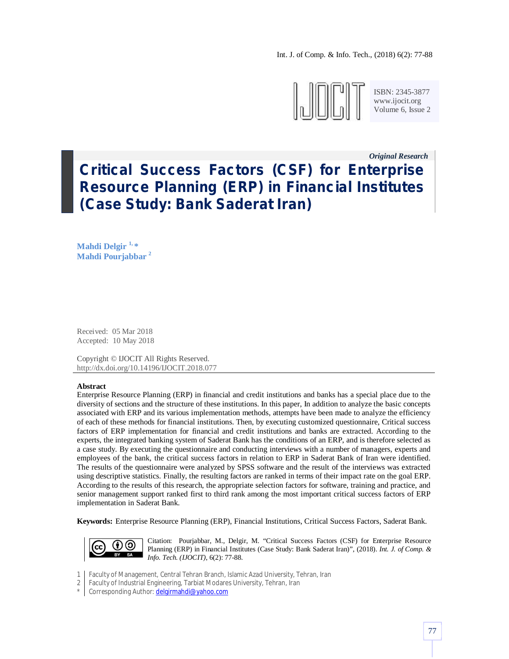

ISBN: 2345-3877 www.ijocit.org Volume 6, Issue 2

# *Original Research\_\_* **Critical Success Factors (CSF) for Enterprise Resource Planning (ERP) in Financial Institutes (Case Study: Bank Saderat Iran)**

**Mahdi Delgir 1, \* Mahdi Pourjabbar <sup>2</sup>**

Received: 05 Mar 2018 Accepted: 10 May 2018

Copyright © IJOCIT All Rights Reserved. http://dx.doi.org/10.14196/IJOCIT.2018.077

#### **Abstract**

Enterprise Resource Planning (ERP) in financial and credit institutions and banks has a special place due to the diversity of sections and the structure of these institutions. In this paper, In addition to analyze the basic concepts associated with ERP and its various implementation methods, attempts have been made to analyze the efficiency of each of these methods for financial institutions. Then, by executing customized questionnaire, Critical success factors of ERP implementation for financial and credit institutions and banks are extracted. According to the experts, the integrated banking system of Saderat Bank has the conditions of an ERP, and is therefore selected as a case study. By executing the questionnaire and conducting interviews with a number of managers, experts and employees of the bank, the critical success factors in relation to ERP in Saderat Bank of Iran were identified. The results of the questionnaire were analyzed by SPSS software and the result of the interviews was extracted using descriptive statistics. Finally, the resulting factors are ranked in terms of their impact rate on the goal ERP. According to the results of this research, the appropriate selection factors for software, training and practice, and senior management support ranked first to third rank among the most important critical success factors of ERP implementation in Saderat Bank.

**Keywords:** Enterprise Resource Planning (ERP), Financial Institutions, Critical Success Factors, Saderat Bank.



Citation: Pourjabbar, M., Delgir, M. "Critical Success Factors (CSF) for Enterprise Resource Planning (ERP) in Financial Institutes (Case Study: Bank Saderat Iran)", (2018). *Int. J. of Comp. & Info. Tech. (IJOCIT)*, 6(2): 77-88.

- 1 Faculty of Management, Central Tehran Branch, Islamic Azad University, Tehran, Iran
- 2 Faculty of Industrial Engineering, Tarbiat Modares University, Tehran, Iran
- \* Corresponding Author: **delgirmahdi@yahoo.com**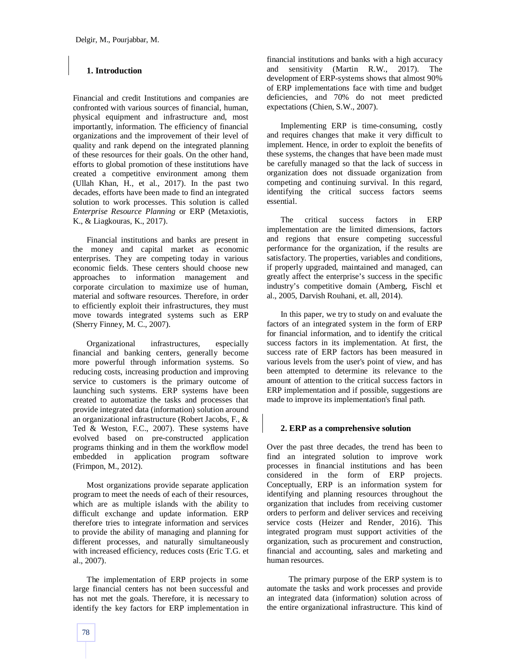# **1. Introduction**

Financial and credit Institutions and companies are confronted with various sources of financial, human, physical equipment and infrastructure and, most importantly, information. The efficiency of financial organizations and the improvement of their level of quality and rank depend on the integrated planning of these resources for their goals. On the other hand, efforts to global promotion of these institutions have created a competitive environment among them (Ullah Khan, H., et al., 2017). In the past two decades, efforts have been made to find an integrated solution to work processes. This solution is called *Enterprise Resource Planning* or ERP (Metaxiotis, K., & Liagkouras, K., 2017).

Financial institutions and banks are present in the money and capital market as economic enterprises. They are competing today in various economic fields. These centers should choose new approaches to information management and corporate circulation to maximize use of human, material and software resources. Therefore, in order to efficiently exploit their infrastructures, they must move towards integrated systems such as ERP (Sherry Finney, M. C., 2007).

Organizational infrastructures, especially financial and banking centers, generally become more powerful through information systems. So reducing costs, increasing production and improving service to customers is the primary outcome of launching such systems. ERP systems have been created to automatize the tasks and processes that provide integrated data (information) solution around an organizational infrastructure (Robert Jacobs, F., & Ted & Weston, F.C., 2007). These systems have evolved based on pre-constructed application programs thinking and in them the workflow model embedded in application program software (Frimpon, M., 2012).

Most organizations provide separate application program to meet the needs of each of their resources, which are as multiple islands with the ability to difficult exchange and update information. ERP therefore tries to integrate information and services to provide the ability of managing and planning for different processes, and naturally simultaneously with increased efficiency, reduces costs (Eric T.G. et al., 2007).

The implementation of ERP projects in some large financial centers has not been successful and has not met the goals. Therefore, it is necessary to identify the key factors for ERP implementation in financial institutions and banks with a high accuracy and sensitivity (Martin R.W., 2017). The development of ERP-systems shows that almost 90% of ERP implementations face with time and budget deficiencies, and 70% do not meet predicted expectations (Chien, S.W., 2007).

Implementing ERP is time-consuming, costly and requires changes that make it very difficult to implement. Hence, in order to exploit the benefits of these systems, the changes that have been made must be carefully managed so that the lack of success in organization does not dissuade organization from competing and continuing survival. In this regard, identifying the critical success factors seems essential.

The critical success factors in ERP implementation are the limited dimensions, factors and regions that ensure competing successful performance for the organization, if the results are satisfactory. The properties, variables and conditions, if properly upgraded, maintained and managed, can greatly affect the enterprise's success in the specific industry's competitive domain (Amberg, Fischl et al., 2005, Darvish Rouhani, et. all, 2014).

In this paper, we try to study on and evaluate the factors of an integrated system in the form of ERP for financial information, and to identify the critical success factors in its implementation. At first, the success rate of ERP factors has been measured in various levels from the user's point of view, and has been attempted to determine its relevance to the amount of attention to the critical success factors in ERP implementation and if possible, suggestions are made to improve its implementation's final path.

#### **2. ERP as a comprehensive solution**

Over the past three decades, the trend has been to find an integrated solution to improve work processes in financial institutions and has been considered in the form of ERP projects. Conceptually, ERP is an information system for identifying and planning resources throughout the organization that includes from receiving customer orders to perform and deliver services and receiving service costs (Heizer and Render, 2016). This integrated program must support activities of the organization, such as procurement and construction, financial and accounting, sales and marketing and human resources.

 The primary purpose of the ERP system is to automate the tasks and work processes and provide an integrated data (information) solution across of the entire organizational infrastructure. This kind of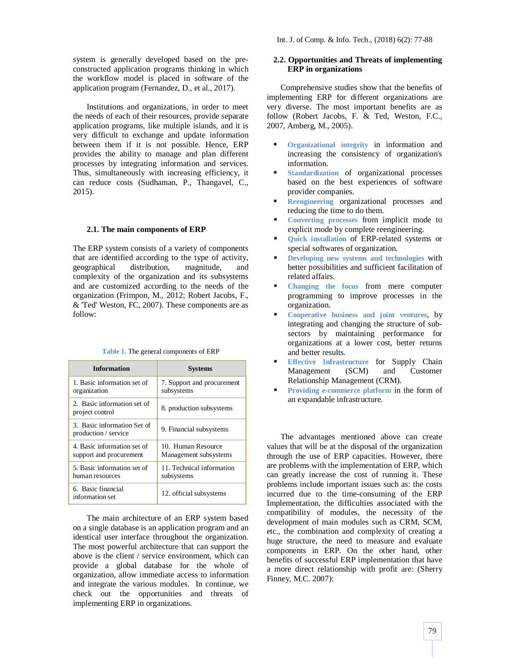system is generally developed based on the preconstructed application programs thinking in which the workflow model is placed in software of the application program (Fernandez, D., et al., 2017).

Institutions and organizations, in order to meet the needs of each of their resources, provide separate application programs, like multiple islands, and it is very difficult to exchange and update information between them if it is not possible. Hence, ERP provides the ability to manage and plan different processes by integrating information and services. Thus, simultaneously with increasing efficiency, it can reduce costs (Sudhaman, P., Thangavel, C., 2015).

#### **2.1. The main components of ERP**

The ERP system consists of a variety of components that are identified according to the type of activity, geographical distribution, magnitude, and complexity of the organization and its subsystems and are customized according to the needs of the organization (Frimpon, M., 2012; Robert Jacobs, F., & 'Ted' Weston, FC, 2007). These components are as follow:

|  | <b>Table 1.</b> The general components of ERP |
|--|-----------------------------------------------|
|--|-----------------------------------------------|

| <b>Information</b>                                     | <b>Systems</b>                              |
|--------------------------------------------------------|---------------------------------------------|
| 1. Basic information set of<br>organization            | 7. Support and procurement<br>subsystems    |
| 2. Basic information set of<br>project control         | 8. production subsystems                    |
| 3. Basic information Set of<br>production / service    | 9. Financial subsystems                     |
| 4. Basic information set of<br>support and procurement | 10. Human Resource<br>Management subsystems |
| 5. Basic information set of<br>human resources         | 11. Technical information<br>subsystems     |
| 6. Basic financial<br>information set                  | 12. official subsystems                     |

The main architecture of an ERP system based on a single database is an application program and an identical user interface throughout the organization. The most powerful architecture that can support the above is the client / service environment, which can provide a global database for the whole of organization, allow immediate access to information and integrate the various modules. In continue, we check out the opportunities and threats of implementing ERP in organizations.

# **2.2. Opportunities and Threats of implementing ERP in organizations**

Comprehensive studies show that the benefits of implementing ERP for different organizations are very diverse. The most important benefits are as follow (Robert Jacobs, F. & Ted, Weston, F.C., 2007, Amberg, M., 2005).

- **Organizational integrity** in information and increasing the consistency of organization's information.
- **Standardization** of organizational processes based on the best experiences of software provider companies.
- **Reengineering** organizational processes and reducing the time to do them.
- **Converting processes** from implicit mode to explicit mode by complete reengineering.
- **Quick installation** of ERP-related systems or special softwares of organization.
- **Developing new systems and technologies** with better possibilities and sufficient facilitation of related affairs.
- **Changing the focus** from mere computer programming to improve processes in the organization.
- **Cooperative business and joint ventures**, by integrating and changing the structure of subsectors by maintaining performance for organizations at a lower cost, better returns and better results.
- **Effective Infrastructure** for Supply Chain Management (SCM) and Customer Relationship Management (CRM).
- **Providing e-commerce platform** in the form of an expandable infrastructure.

The advantages mentioned above can create values that will be at the disposal of the organization through the use of ERP capacities. However, there are problems with the implementation of ERP, which can greatly increase the cost of running it. These problems include important issues such as: the costs incurred due to the time-consuming of the ERP Implementation, the difficulties associated with the compatibility of modules, the necessity of the development of main modules such as CRM, SCM, etc., the combination and complexity of creating a huge structure, the need to measure and evaluate components in ERP. On the other hand, other benefits of successful ERP implementation that have a more direct relationship with profit are: (Sherry Finney, M.C. 2007):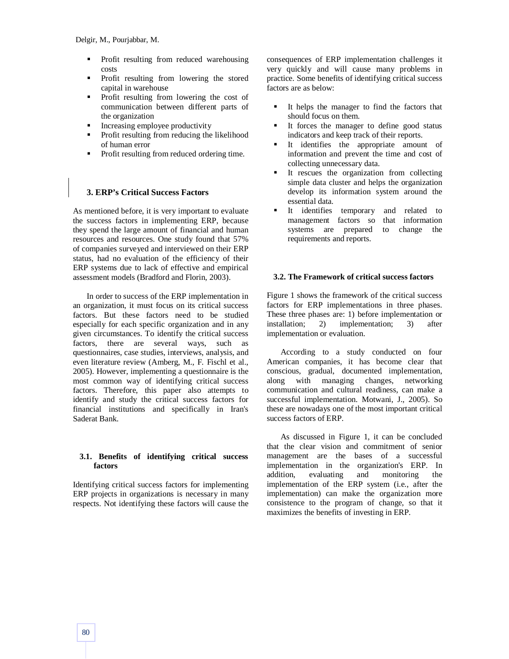- Profit resulting from reduced warehousing costs
- Profit resulting from lowering the stored capital in warehouse
- Profit resulting from lowering the cost of communication between different parts of the organization
- Increasing employee productivity
- Profit resulting from reducing the likelihood of human error
- Profit resulting from reduced ordering time.

# **3. ERP's Critical Success Factors**

As mentioned before, it is very important to evaluate the success factors in implementing ERP, because they spend the large amount of financial and human resources and resources. One study found that 57% of companies surveyed and interviewed on their ERP status, had no evaluation of the efficiency of their ERP systems due to lack of effective and empirical assessment models (Bradford and Florin, 2003).

In order to success of the ERP implementation in an organization, it must focus on its critical success factors. But these factors need to be studied especially for each specific organization and in any given circumstances. To identify the critical success factors, there are several ways, such as questionnaires, case studies, interviews, analysis, and even literature review (Amberg, M., F. Fischl et al., 2005). However, implementing a questionnaire is the most common way of identifying critical success factors. Therefore, this paper also attempts to identify and study the critical success factors for financial institutions and specifically in Iran's Saderat Bank.

## **3.1. Benefits of identifying critical success factors**

Identifying critical success factors for implementing ERP projects in organizations is necessary in many respects. Not identifying these factors will cause the consequences of ERP implementation challenges it very quickly and will cause many problems in practice. Some benefits of identifying critical success factors are as below:

- It helps the manager to find the factors that should focus on them.
- It forces the manager to define good status indicators and keep track of their reports.
- It identifies the appropriate amount of information and prevent the time and cost of collecting unnecessary data.
- It rescues the organization from collecting simple data cluster and helps the organization develop its information system around the essential data.
- It identifies temporary and related to management factors so that information systems are prepared to change the requirements and reports.

## **3.2. The Framework of critical success factors**

Figure 1 shows the framework of the critical success factors for ERP implementations in three phases. These three phases are: 1) before implementation or installation; 2) implementation; 3) after implementation or evaluation.

According to a study conducted on four American companies, it has become clear that conscious, gradual, documented implementation, along with managing changes, networking communication and cultural readiness, can make a successful implementation. Motwani, J., 2005). So these are nowadays one of the most important critical success factors of ERP.

As discussed in Figure 1, it can be concluded that the clear vision and commitment of senior management are the bases of a successful implementation in the organization's ERP. In addition, evaluating and monitoring the implementation of the ERP system (i.e., after the implementation) can make the organization more consistence to the program of change, so that it maximizes the benefits of investing in ERP.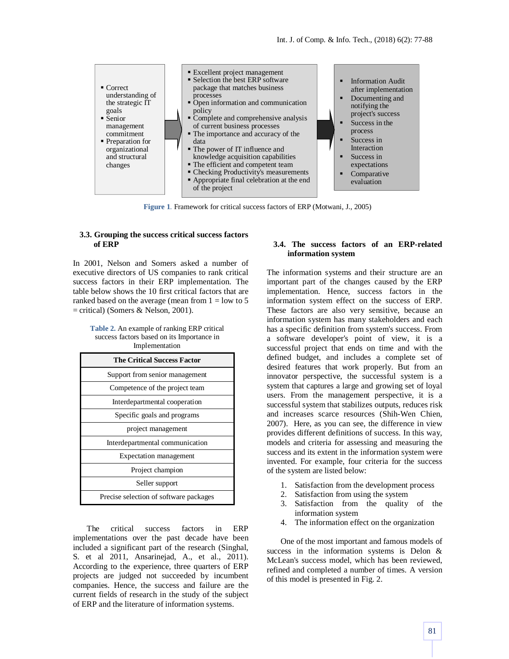

**Figure 1**. Framework for critical success factors of ERP (Motwani, J., 2005)

#### **3.3. Grouping the success critical success factors of ERP**

In 2001, Nelson and Somers asked a number of executive directors of US companies to rank critical success factors in their ERP implementation. The table below shows the 10 first critical factors that are ranked based on the average (mean from  $1 =$  low to 5  $=$  critical) (Somers & Nelson, 2001).

**Table 2.** An example of ranking ERP critical success factors based on its Importance in Implementation

| <b>The Critical Success Factor</b>     |
|----------------------------------------|
| Support from senior management         |
| Competence of the project team         |
| Interdepartmental cooperation          |
| Specific goals and programs            |
| project management                     |
| Interdepartmental communication        |
| <b>Expectation</b> management          |
| Project champion                       |
| Seller support                         |
| Precise selection of software packages |

The critical success factors in ERP implementations over the past decade have been included a significant part of the research (Singhal, S. et al 2011, Ansarinejad, A., et al., 2011). According to the experience, three quarters of ERP projects are judged not succeeded by incumbent companies. Hence, the success and failure are the current fields of research in the study of the subject of ERP and the literature of information systems.

#### **3.4. The success factors of an ERP-related information system**

The information systems and their structure are an important part of the changes caused by the ERP implementation. Hence, success factors in the information system effect on the success of ERP. These factors are also very sensitive, because an information system has many stakeholders and each has a specific definition from system's success. From a software developer's point of view, it is a successful project that ends on time and with the defined budget, and includes a complete set of desired features that work properly. But from an innovator perspective, the successful system is a system that captures a large and growing set of loyal users. From the management perspective, it is a successful system that stabilizes outputs, reduces risk and increases scarce resources (Shih-Wen Chien, 2007). Here, as you can see, the difference in view provides different definitions of success. In this way, models and criteria for assessing and measuring the success and its extent in the information system were invented. For example, four criteria for the success of the system are listed below:

- 1. Satisfaction from the development process
- 2. Satisfaction from using the system
- 3. Satisfaction from the quality of the information system
- 4. The information effect on the organization

One of the most important and famous models of success in the information systems is Delon & McLean's success model, which has been reviewed, refined and completed a number of times. A version of this model is presented in Fig. 2.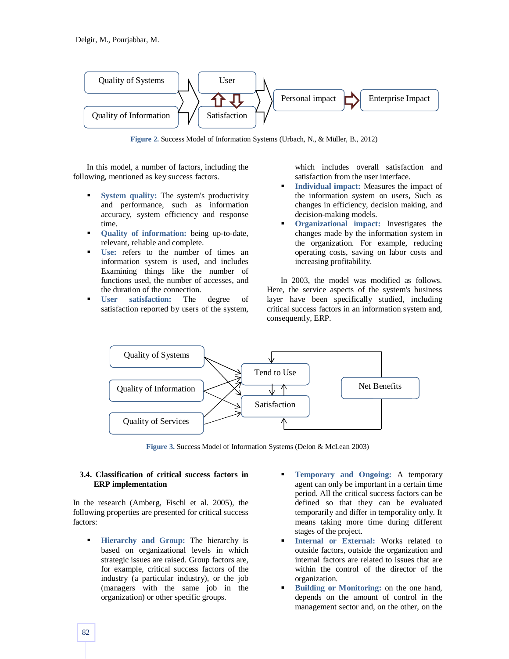

**Figure 2.** Success Model of Information Systems (Urbach, N., & Müller, B., 2012)

In this model, a number of factors, including the following, mentioned as key success factors.

- **System quality:** The system's productivity and performance, such as information accuracy, system efficiency and response time.
- **Quality of information:** being up-to-date, relevant, reliable and complete.
- **Use:** refers to the number of times an information system is used, and includes Examining things like the number of functions used, the number of accesses, and the duration of the connection.
- **User satisfaction:** The degree of satisfaction reported by users of the system,

which includes overall satisfaction and satisfaction from the user interface.

- **Individual impact:** Measures the impact of the information system on users, Such as changes in efficiency, decision making, and decision-making models.
- **• Organizational impact:** Investigates the changes made by the information system in the organization. For example, reducing operating costs, saving on labor costs and increasing profitability.

In 2003, the model was modified as follows. Here, the service aspects of the system's business layer have been specifically studied, including critical success factors in an information system and, consequently, ERP.



**Figure 3.** Success Model of Information Systems (Delon & McLean 2003)

#### **3.4. Classification of critical success factors in ERP implementation**

In the research (Amberg, Fischl et al. 2005), the following properties are presented for critical success factors:

- **Hierarchy and Group:** The hierarchy is based on organizational levels in which strategic issues are raised. Group factors are, for example, critical success factors of the industry (a particular industry), or the job (managers with the same job in the organization) or other specific groups.
- **Temporary and Ongoing:** A temporary agent can only be important in a certain time period. All the critical success factors can be defined so that they can be evaluated temporarily and differ in temporality only. It means taking more time during different stages of the project.
- **Internal or External:** Works related to outside factors, outside the organization and internal factors are related to issues that are within the control of the director of the organization.
- **Building or Monitoring:** on the one hand, depends on the amount of control in the management sector and, on the other, on the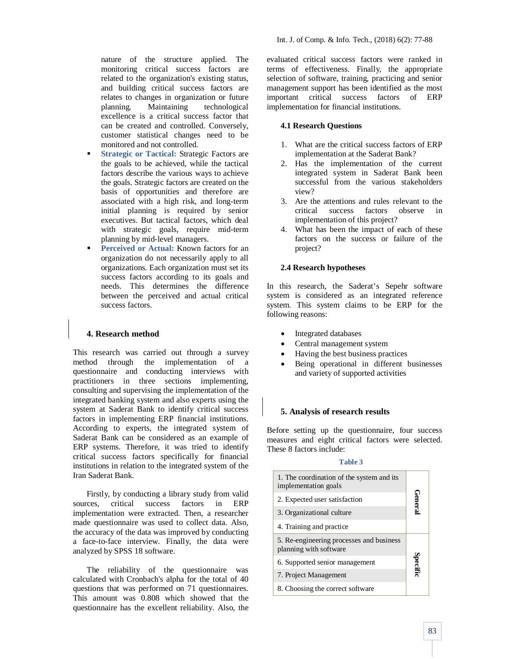nature of the structure applied. The monitoring critical success factors are related to the organization's existing status, and building critical success factors are relates to changes in organization or future planning. Maintaining technological excellence is a critical success factor that can be created and controlled. Conversely, customer statistical changes need to be monitored and not controlled.

- **Strategic or Tactical:** Strategic Factors are the goals to be achieved, while the tactical factors describe the various ways to achieve the goals. Strategic factors are created on the basis of opportunities and therefore are associated with a high risk, and long-term initial planning is required by senior executives. But tactical factors, which deal with strategic goals, require mid-term planning by mid-level managers.
- **Perceived or Actual:** Known factors for an organization do not necessarily apply to all organizations. Each organization must set its success factors according to its goals and needs. This determines the difference between the perceived and actual critical success factors.

# **4. Research method**

This research was carried out through a survey method through the implementation of a questionnaire and conducting interviews with practitioners in three sections implementing, consulting and supervising the implementation of the integrated banking system and also experts using the system at Saderat Bank to identify critical success factors in implementing ERP financial institutions. According to experts, the integrated system of Saderat Bank can be considered as an example of ERP systems. Therefore, it was tried to identify critical success factors specifically for financial institutions in relation to the integrated system of the Iran Saderat Bank.

Firstly, by conducting a library study from valid sources, critical success factors in ERP implementation were extracted. Then, a researcher made questionnaire was used to collect data. Also, the accuracy of the data was improved by conducting a face-to-face interview. Finally, the data were analyzed by SPSS 18 software.

The reliability of the questionnaire was calculated with Cronbach's alpha for the total of 40 questions that was performed on 71 questionnaires. This amount was 0.808 which showed that the questionnaire has the excellent reliability. Also, the

evaluated critical success factors were ranked in terms of effectiveness. Finally, the appropriate selection of software, training, practicing and senior management support has been identified as the most important critical success factors of ERP implementation for financial institutions.

#### **4.1 Research Questions**

- 1. What are the critical success factors of ERP implementation at the Saderat Bank?
- 2. Has the implementation of the current integrated system in Saderat Bank been successful from the various stakeholders view?
- 3. Are the attentions and rules relevant to the critical success factors observe in implementation of this project?
- 4. What has been the impact of each of these factors on the success or failure of the project?

#### **2.4 Research hypotheses**

In this research, the Saderat's Sepehr software system is considered as an integrated reference system. This system claims to be ERP for the following reasons:

- Integrated databases
- Central management system
- Having the best business practices
- Being operational in different businesses and variety of supported activities

## **5. Analysis of research results**

Before setting up the questionnaire, four success measures and eight critical factors were selected. These 8 factors include:

# **Table 3**

| 1. The coordination of the system and its<br>implementation goals  |          |
|--------------------------------------------------------------------|----------|
| 2. Expected user satisfaction                                      |          |
| 3. Organizational culture                                          | neral    |
| 4. Training and practice                                           |          |
| 5. Re-engineering processes and business<br>planning with software |          |
| 6. Supported senior management                                     | Specific |
| 7. Project Management                                              |          |
| 8. Choosing the correct software                                   |          |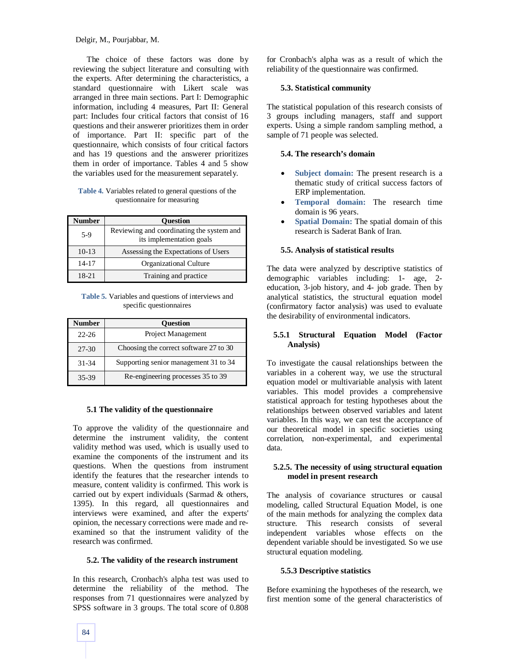The choice of these factors was done by reviewing the subject literature and consulting with the experts. After determining the characteristics, a standard questionnaire with Likert scale was arranged in three main sections. Part I: Demographic information, including 4 measures, Part II: General part: Includes four critical factors that consist of 16 questions and their answerer prioritizes them in order of importance. Part II: specific part of the questionnaire, which consists of four critical factors and has 19 questions and the answerer prioritizes them in order of importance. Tables 4 and 5 show the variables used for the measurement separately.

#### **Table 4.** Variables related to general questions of the questionnaire for measuring

| Number    | <b>Ouestion</b>                                                       |
|-----------|-----------------------------------------------------------------------|
| $5-9$     | Reviewing and coordinating the system and<br>its implementation goals |
| $10-13$   | Assessing the Expectations of Users                                   |
| $14 - 17$ | Organizational Culture                                                |
| 18-21     | Training and practice                                                 |

**Table 5.** Variables and questions of interviews and specific questionnaires

| <b>Number</b> | <b>Ouestion</b>                        |
|---------------|----------------------------------------|
| $22 - 26$     | Project Management                     |
| 27-30         | Choosing the correct software 27 to 30 |
| 31-34         | Supporting senior management 31 to 34  |
| 35-39         | Re-engineering processes 35 to 39      |

#### **5.1 The validity of the questionnaire**

To approve the validity of the questionnaire and determine the instrument validity, the content validity method was used, which is usually used to examine the components of the instrument and its questions. When the questions from instrument identify the features that the researcher intends to measure, content validity is confirmed. This work is carried out by expert individuals (Sarmad & others, 1395). In this regard, all questionnaires and interviews were examined, and after the experts' opinion, the necessary corrections were made and reexamined so that the instrument validity of the research was confirmed.

#### **5.2. The validity of the research instrument**

In this research, Cronbach's alpha test was used to determine the reliability of the method. The responses from 71 questionnaires were analyzed by SPSS software in 3 groups. The total score of 0.808 for Cronbach's alpha was as a result of which the reliability of the questionnaire was confirmed.

#### **5.3. Statistical community**

The statistical population of this research consists of 3 groups including managers, staff and support experts. Using a simple random sampling method, a sample of 71 people was selected.

#### **5.4. The research's domain**

- **Subject domain:** The present research is a thematic study of critical success factors of ERP implementation.
- **Temporal domain:** The research time domain is 96 years.
- **Spatial Domain:** The spatial domain of this research is Saderat Bank of Iran.

#### **5.5. Analysis of statistical results**

The data were analyzed by descriptive statistics of demographic variables including: 1- age, 2 education, 3-job history, and 4- job grade. Then by analytical statistics, the structural equation model (confirmatory factor analysis) was used to evaluate the desirability of environmental indicators.

## **5.5.1 Structural Equation Model (Factor Analysis)**

To investigate the causal relationships between the variables in a coherent way, we use the structural equation model or multivariable analysis with latent variables. This model provides a comprehensive statistical approach for testing hypotheses about the relationships between observed variables and latent variables. In this way, we can test the acceptance of our theoretical model in specific societies using correlation, non-experimental, and experimental data.

#### **5.2.5. The necessity of using structural equation model in present research**

The analysis of covariance structures or causal modeling, called Structural Equation Model, is one of the main methods for analyzing the complex data structure. This research consists of several independent variables whose effects on the dependent variable should be investigated. So we use structural equation modeling.

## **5.5.3 Descriptive statistics**

Before examining the hypotheses of the research, we first mention some of the general characteristics of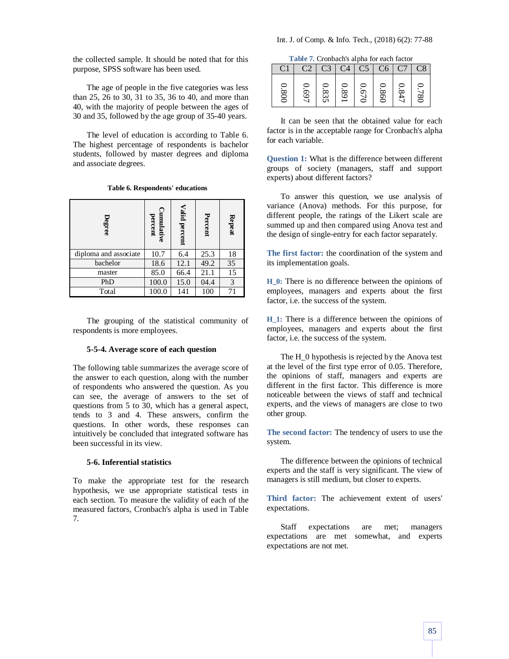The age of people in the five categories was less than 25, 26 to 30, 31 to 35, 36 to 40, and more than 40, with the majority of people between the ages of 30 and 35, followed by the age group of 35-40 years.

The level of education is according to Table 6. The highest percentage of respondents is bachelor students, followed by master degrees and diploma and associate degrees.

| Table 6. Respondents' educations |  |
|----------------------------------|--|
|----------------------------------|--|

| Degree                | Cumulative<br>percent | Valid percent | Percent | Repeat |
|-----------------------|-----------------------|---------------|---------|--------|
| diploma and associate | 10.7                  | 6.4           | 25.3    | 18     |
| bachelor              | 18.6                  | 12.1          | 49.2    | 35     |
| master                | 85.0                  | 66.4          | 21.1    | 15     |
| PhD                   | 100.0                 | 15.0          | 04.4    | 3      |
| Total                 | 100.0                 | 141           | 100     | 71     |

The grouping of the statistical community of respondents is more employees.

## **5-5-4. Average score of each question**

The following table summarizes the average score of the answer to each question, along with the number of respondents who answered the question. As you can see, the average of answers to the set of questions from 5 to 30, which has a general aspect, tends to 3 and 4. These answers, confirm the questions. In other words, these responses can intuitively be concluded that integrated software has been successful in its view.

# **5-6. Inferential statistics**

To make the appropriate test for the research hypothesis, we use appropriate statistical tests in each section. To measure the validity of each of the measured factors, Cronbach's alpha is used in Table 7.

**Table 7.** Cronbach's alpha for each factor

|                  | ------- |              |    |        |               |        |
|------------------|---------|--------------|----|--------|---------------|--------|
|                  |         |              | C4 | C5     | C6            |        |
| ≘<br>∞<br>≘<br>≘ | ≎<br>O  | ∞<br>ى<br>UI | ∞  | .<br>≘ | . .<br>∞<br>2 | ÷<br>ఠ |

It can be seen that the obtained value for each factor is in the acceptable range for Cronbach's alpha for each variable.

**Question 1:** What is the difference between different groups of society (managers, staff and support experts) about different factors?

To answer this question, we use analysis of variance (Anova) methods. For this purpose, for different people, the ratings of the Likert scale are summed up and then compared using Anova test and the design of single-entry for each factor separately.

**The first factor:** the coordination of the system and its implementation goals.

**H\_0:** There is no difference between the opinions of employees, managers and experts about the first factor, i.e. the success of the system.

**H\_1:** There is a difference between the opinions of employees, managers and experts about the first factor, i.e. the success of the system.

The H\_0 hypothesis is rejected by the Anova test at the level of the first type error of 0.05. Therefore, the opinions of staff, managers and experts are different in the first factor. This difference is more noticeable between the views of staff and technical experts, and the views of managers are close to two other group.

**The second factor:** The tendency of users to use the system.

The difference between the opinions of technical experts and the staff is very significant. The view of managers is still medium, but closer to experts.

**Third factor:** The achievement extent of users' expectations.

Staff expectations are met; managers expectations are met somewhat, and experts expectations are not met.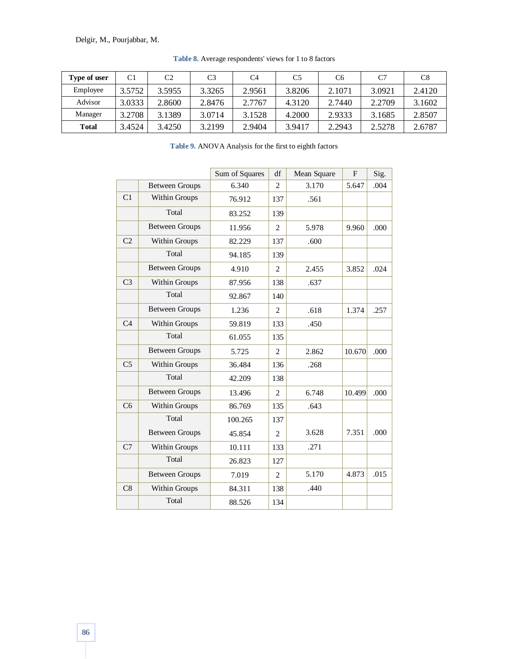| Type of user | C1     | C <sub>2</sub> | C <sub>3</sub> | C4     | C5     | C <sub>6</sub> | C <sub>7</sub> | C8     |
|--------------|--------|----------------|----------------|--------|--------|----------------|----------------|--------|
| Employee     | 3.5752 | 3.5955         | 3.3265         | 2.9561 | 3.8206 | 2.1071         | 3.0921         | 2.4120 |
| Advisor      | 3.0333 | 2.8600         | 2.8476         | 2.7767 | 4.3120 | 2.7440         | 2.2709         | 3.1602 |
| Manager      | 3.2708 | 3.1389         | 3.0714         | 3.1528 | 4.2000 | 2.9333         | 3.1685         | 2.8507 |
| Total        | 3.4524 | 3.4250         | 3.2199         | 2.9404 | 3.9417 | 2.2943         | 2.5278         | 2.6787 |

**Table 8.** Average respondents' views for 1 to 8 factors

**Table 9.** ANOVA Analysis for the first to eighth factors

|                       | Sum of Squares | df             | Mean Square | $\mathbf{F}$ | Sig. |
|-----------------------|----------------|----------------|-------------|--------------|------|
| <b>Between Groups</b> | 6.340          | 2              | 3.170       | 5.647        | .004 |
| Within Groups         | 76.912         | 137            | .561        |              |      |
| Total                 | 83.252         | 139            |             |              |      |
| <b>Between Groups</b> | 11.956         | 2              | 5.978       | 9.960        | .000 |
| Within Groups         | 82.229         | 137            | .600        |              |      |
| Total                 | 94.185         | 139            |             |              |      |
| <b>Between Groups</b> | 4.910          | $\overline{c}$ | 2.455       | 3.852        | .024 |
| Within Groups         | 87.956         | 138            | .637        |              |      |
| Total                 | 92.867         | 140            |             |              |      |
| <b>Between Groups</b> | 1.236          | $\overline{c}$ | .618        | 1.374        | .257 |
| Within Groups         | 59.819         | 133            | .450        |              |      |
| Total                 | 61.055         | 135            |             |              |      |
| <b>Between Groups</b> | 5.725          | $\overline{c}$ | 2.862       | 10.670       | .000 |
| Within Groups         | 36.484         | 136            | .268        |              |      |
| Total                 | 42.209         | 138            |             |              |      |
| <b>Between Groups</b> | 13.496         | $\overline{c}$ | 6.748       | 10.499       | .000 |
| Within Groups         | 86.769         | 135            | .643        |              |      |
| Total                 | 100.265        | 137            |             |              |      |
| <b>Between Groups</b> | 45.854         | $\overline{c}$ | 3.628       | 7.351        | .000 |
| Within Groups         | 10.111         | 133            | .271        |              |      |
| Total                 | 26.823         | 127            |             |              |      |
| <b>Between Groups</b> | 7.019          | $\overline{2}$ | 5.170       | 4.873        | .015 |
| Within Groups         | 84.311         | 138            | .440        |              |      |
| Total                 | 88.526         | 134            |             |              |      |
|                       |                |                |             |              |      |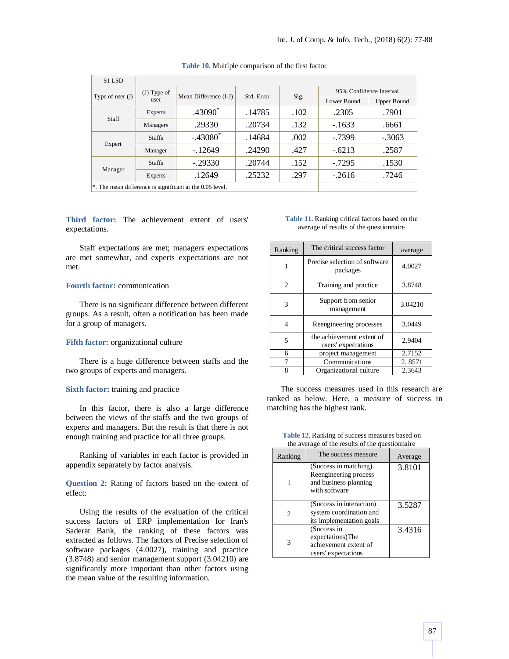| S1 LSD                                                         |               |                        |            |      |                         |                    |  |
|----------------------------------------------------------------|---------------|------------------------|------------|------|-------------------------|--------------------|--|
| Type of user $(I)$                                             | $(J)$ Type of | Mean Difference (I-J)  |            |      | 95% Confidence Interval |                    |  |
|                                                                | user          |                        | Std. Error | Sig. | Lower Bound             | <b>Upper Bound</b> |  |
| Staff                                                          | Experts       | $.43090*$              | .14785     | .102 | .2305                   | .7901              |  |
|                                                                | Managers      | .29330                 | .20734     | .132 | $-.1633$                | .6661              |  |
| Expert                                                         | <b>Staffs</b> | $-.43080$ <sup>*</sup> | .14684     | .002 | $-0.7399$               | $-.3063$           |  |
|                                                                | Manager       | $-12649$               | .24290     | .427 | $-.6213$                | .2587              |  |
|                                                                | <b>Staffs</b> | $-.29330$              | .20744     | .152 | $-0.7295$               | .1530              |  |
| Manager                                                        | Experts       | .12649                 | .25232     | .297 | $-.2616$                | .7246              |  |
| $\ast$ . The mean difference is significant at the 0.05 level. |               |                        |            |      |                         |                    |  |

**Table 10.** Multiple comparison of the first factor

**Third factor:** The achievement extent of users' expectations.

Staff expectations are met; managers expectations are met somewhat, and experts expectations are not met.

#### **Fourth factor:** communication

There is no significant difference between different groups. As a result, often a notification has been made for a group of managers.

#### **Fifth factor:** organizational culture

There is a huge difference between staffs and the two groups of experts and managers.

#### **Sixth factor:** training and practice

In this factor, there is also a large difference between the views of the staffs and the two groups of experts and managers. But the result is that there is not enough training and practice for all three groups.

Ranking of variables in each factor is provided in appendix separately by factor analysis.

**Question 2:** Rating of factors based on the extent of effect:

Using the results of the evaluation of the critical success factors of ERP implementation for Iran's Saderat Bank, the ranking of these factors was extracted as follows. The factors of Precise selection of software packages (4.0027), training and practice (3.8748) and senior management support (3.04210) are significantly more important than other factors using the mean value of the resulting information.

**Table 11.** Ranking critical factors based on the average of results of the questionnaire

| Ranking                     | The critical success factor                      | average |
|-----------------------------|--------------------------------------------------|---------|
| 1                           | Precise selection of software<br>packages        | 4.0027  |
| $\mathcal{D}_{\mathcal{L}}$ | Training and practice                            | 3.8748  |
| 3                           | Support from senior<br>management                | 3.04210 |
| 4                           | Reengineering processes                          | 3.0449  |
| 5                           | the achievement extent of<br>users' expectations | 2.9404  |
| 6                           | project management                               | 2.7152  |
|                             | Communications                                   | 2.8571  |
| 8                           | Organizational culture                           | 2.3643  |

The success measures used in this research are ranked as below. Here, a measure of success in matching has the highest rank.

| Ranking | The success measure                                                                       | Average |
|---------|-------------------------------------------------------------------------------------------|---------|
|         | (Success in matching).<br>Reengineering process<br>and business planning<br>with software | 3.8101  |
| 2       | (Success in interaction)<br>system coordination and<br>its implementation goals           | 3.5287  |
| 3       | (Success in<br>expectations)The<br>achievement extent of<br>users' expectations           | 3.4316  |

**Table 12.** Ranking of success measures based on the average of the results of the questionnaire